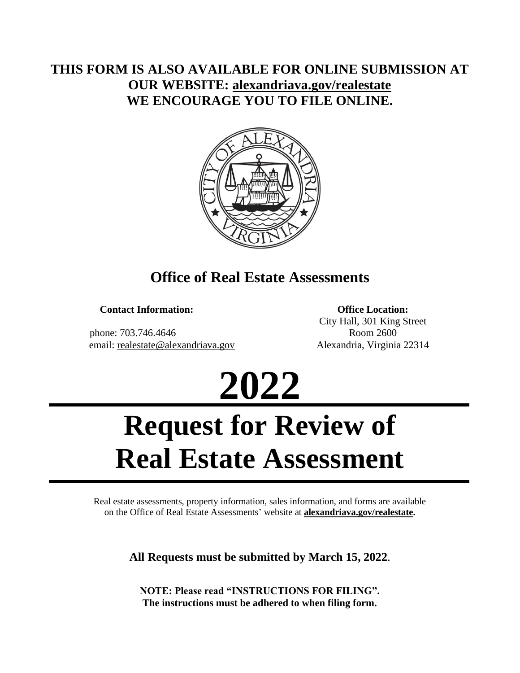## **THIS FORM IS ALSO AVAILABLE FOR ONLINE SUBMISSION AT OUR WEBSITE: [alexandriava.gov/realestate](http://alexandriava.gov/realestate/default.aspx) WE ENCOURAGE YOU TO FILE ONLINE.**



# **Office of Real Estate Assessments**

**Contact Information:**

 phone: 703.746.4646 email: [realestate@alexandriava.gov](mailto:realestate@alexandriava.gov)

**Office Location:** City Hall, 301 King Street Room 2600 Alexandria, Virginia 22314



# **Request for Review of Real Estate Assessment**

Real estate assessments, property information, sales information, and forms are available on the Office of Real Estate Assessments' website at **alexandriava.gov/realestate.**

**All Requests must be submitted by March 15, 2022**.

**NOTE: Please read "INSTRUCTIONS FOR FILING". The instructions must be adhered to when filing form.**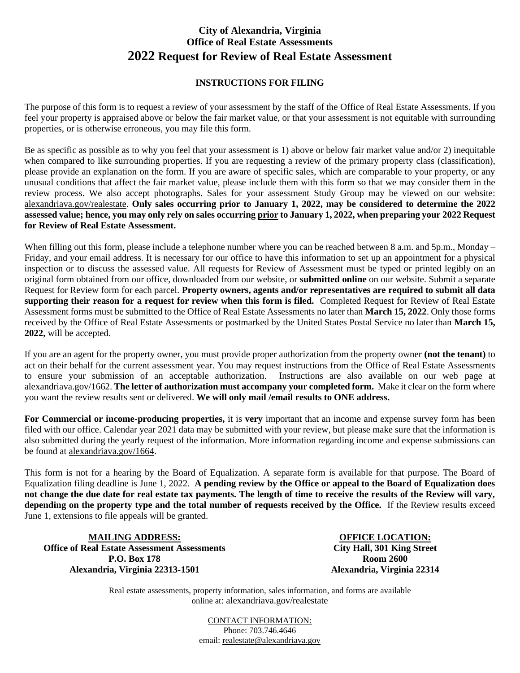#### **City of Alexandria, Virginia Office of Real Estate Assessments 2022 Request for Review of Real Estate Assessment**

#### **INSTRUCTIONS FOR FILING**

The purpose of this form is to request a review of your assessment by the staff of the Office of Real Estate Assessments. If you feel your property is appraised above or below the fair market value, or that your assessment is not equitable with surrounding properties, or is otherwise erroneous, you may file this form.

Be as specific as possible as to why you feel that your assessment is 1) above or below fair market value and/or 2) inequitable when compared to like surrounding properties. If you are requesting a review of the primary property class (classification), please provide an explanation on the form. If you are aware of specific sales, which are comparable to your property, or any unusual conditions that affect the fair market value, please include them with this form so that we may consider them in the review process. We also accept photographs. Sales for your assessment Study Group may be viewed on our website: [alexandriava.gov/realestate.](http://alexandriava.gov/realestate/default.aspx) **Only sales occurring prior to January 1, 2022, may be considered to determine the 2022 assessed value; hence, you may only rely on sales occurring prior to January 1, 2022, when preparing your 2022 Request for Review of Real Estate Assessment.** 

When filling out this form, please include a telephone number where you can be reached between 8 a.m. and 5p.m., Monday – Friday, and your email address. It is necessary for our office to have this information to set up an appointment for a physical inspection or to discuss the assessed value. All requests for Review of Assessment must be typed or printed legibly on an original form obtained from our office, downloaded from our website, or **submitted online** on our website. Submit a separate Request for Review form for each parcel. **Property owners, agents and/or representatives are required to submit all data supporting their reason for a request for review when this form is filed.** Completed Request for Review of Real Estate Assessment forms must be submitted to the Office of Real Estate Assessments no later than **March 15, 2022**. Only those forms received by the Office of Real Estate Assessments or postmarked by the United States Postal Service no later than **March 15, 2022,** will be accepted.

If you are an agent for the property owner, you must provide proper authorization from the property owner **(not the tenant)** to act on their behalf for the current assessment year. You may request instructions from the Office of Real Estate Assessments to ensure your submission of an acceptable authorization. Instructions are also available on our web page at [alexandriava.gov/1662.](http://alexandriava.gov/1662) **The letter of authorization must accompany your completed form.** Make it clear on the form where you want the review results sent or delivered. **We will only mail /email results to ONE address.**

**For Commercial or income-producing properties,** it is **very** important that an income and expense survey form has been filed with our office. Calendar year 2021 data may be submitted with your review, but please make sure that the information is also submitted during the yearly request of the information. More information regarding income and expense submissions can be found at [alexandriava.gov/1664.](http://alexandriava.gov/1664)

This form is not for a hearing by the Board of Equalization. A separate form is available for that purpose. The Board of Equalization filing deadline is June 1, 2022. **A pending review by the Office or appeal to the Board of Equalization does not change the due date for real estate tax payments. The length of time to receive the results of the Review will vary, depending on the property type and the total number of requests received by the Office.** If the Review results exceed June 1, extensions to file appeals will be granted.

**MAILING ADDRESS: Office of Real Estate Assessment Assessments P.O. Box 178 Alexandria, Virginia 22313-1501**

**OFFICE LOCATION: City Hall, 301 King Street Room 2600 Alexandria, Virginia 22314**

Real estate assessments, property information, sales information, and forms are available online at: [alexandriava.gov/realestate](http://alexandriava.gov/realestate/default.aspx)

> CONTACT INFORMATION: Phone: 703.746.4646 email: [realestate@alexandriava.gov](mailto:realestate@alexandriava.gov)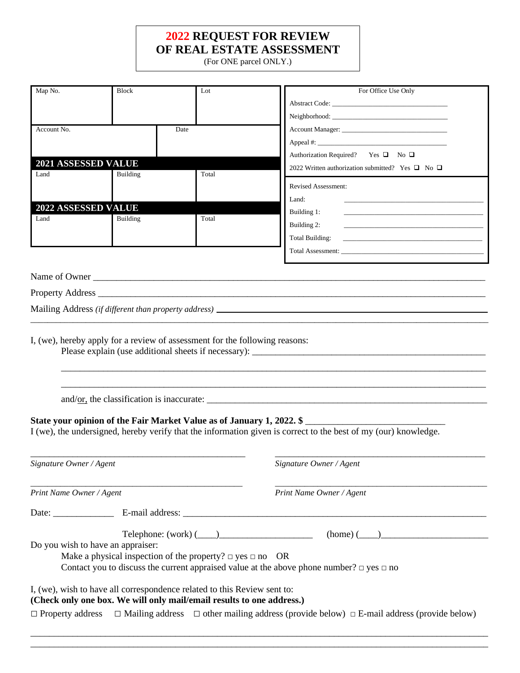### **2022 REQUEST FOR REVIEW OF REAL ESTATE ASSESSMENT**

(For ONE parcel ONLY.)

| Map No.                            | <b>Block</b>                      | Lot                                                                                                                                               | For Office Use Only                                                                                                                       |
|------------------------------------|-----------------------------------|---------------------------------------------------------------------------------------------------------------------------------------------------|-------------------------------------------------------------------------------------------------------------------------------------------|
|                                    |                                   |                                                                                                                                                   |                                                                                                                                           |
|                                    |                                   |                                                                                                                                                   | Neighborhood:                                                                                                                             |
| Account No.                        |                                   | Date                                                                                                                                              |                                                                                                                                           |
|                                    |                                   |                                                                                                                                                   |                                                                                                                                           |
| <b>2021 ASSESSED VALUE</b>         |                                   |                                                                                                                                                   | Authorization Required? Yes $\Box$ No $\Box$                                                                                              |
| Land                               | <b>Building</b>                   | Total                                                                                                                                             | 2022 Written authorization submitted? Yes $\Box$ No $\Box$                                                                                |
|                                    |                                   |                                                                                                                                                   | <b>Revised Assessment:</b>                                                                                                                |
|                                    |                                   |                                                                                                                                                   | Land:                                                                                                                                     |
| <b>2022 ASSESSED VALUE</b><br>Land | <b>Building</b>                   | Total                                                                                                                                             | Building 1:                                                                                                                               |
|                                    |                                   |                                                                                                                                                   | Building 2:                                                                                                                               |
|                                    |                                   |                                                                                                                                                   | Total Building:<br><u> 1989 - Johann John Harry Harry Harry Harry Harry Harry Harry Harry Harry Harry Harry Harry Harry Harry Harry H</u> |
|                                    |                                   |                                                                                                                                                   |                                                                                                                                           |
|                                    |                                   |                                                                                                                                                   |                                                                                                                                           |
|                                    |                                   |                                                                                                                                                   | Name of Owner                                                                                                                             |
|                                    |                                   |                                                                                                                                                   |                                                                                                                                           |
|                                    |                                   |                                                                                                                                                   |                                                                                                                                           |
|                                    |                                   |                                                                                                                                                   |                                                                                                                                           |
|                                    |                                   | I, (we), hereby apply for a review of assessment for the following reasons:                                                                       |                                                                                                                                           |
|                                    |                                   |                                                                                                                                                   |                                                                                                                                           |
|                                    |                                   |                                                                                                                                                   | State your opinion of the Fair Market Value as of January 1, 2022. \$                                                                     |
|                                    |                                   |                                                                                                                                                   | I (we), the undersigned, hereby verify that the information given is correct to the best of my (our) knowledge.                           |
|                                    |                                   |                                                                                                                                                   |                                                                                                                                           |
| Signature Owner / Agent            |                                   |                                                                                                                                                   | Signature Owner / Agent                                                                                                                   |
|                                    |                                   |                                                                                                                                                   |                                                                                                                                           |
| Print Name Owner / Agent           |                                   |                                                                                                                                                   | Print Name Owner / Agent                                                                                                                  |
|                                    |                                   |                                                                                                                                                   |                                                                                                                                           |
|                                    |                                   | $\text{Telephone: (work) } (\_\_\_\_\_\_\_\_\_\_\$                                                                                                |                                                                                                                                           |
|                                    | Do you wish to have an appraiser: |                                                                                                                                                   |                                                                                                                                           |
|                                    |                                   | Make a physical inspection of the property? $\Box$ yes $\Box$ no OR                                                                               |                                                                                                                                           |
|                                    |                                   |                                                                                                                                                   | Contact you to discuss the current appraised value at the above phone number? $\Box$ yes $\Box$ no                                        |
|                                    |                                   | I, (we), wish to have all correspondence related to this Review sent to:<br>(Check only one box. We will only mail/email results to one address.) | $\Box$ Property address $\Box$ Mailing address $\Box$ other mailing address (provide below) $\Box$ E-mail address (provide below)         |
|                                    |                                   |                                                                                                                                                   |                                                                                                                                           |

\_\_\_\_\_\_\_\_\_\_\_\_\_\_\_\_\_\_\_\_\_\_\_\_\_\_\_\_\_\_\_\_\_\_\_\_\_\_\_\_\_\_\_\_\_\_\_\_\_\_\_\_\_\_\_\_\_\_\_\_\_\_\_\_\_\_\_\_\_\_\_\_\_\_\_\_\_\_\_\_\_\_\_\_\_\_\_\_\_\_\_\_\_\_\_\_\_\_ \_\_\_\_\_\_\_\_\_\_\_\_\_\_\_\_\_\_\_\_\_\_\_\_\_\_\_\_\_\_\_\_\_\_\_\_\_\_\_\_\_\_\_\_\_\_\_\_\_\_\_\_\_\_\_\_\_\_\_\_\_\_\_\_\_\_\_\_\_\_\_\_\_\_\_\_\_\_\_\_\_\_\_\_\_\_\_\_\_\_\_\_\_\_\_\_\_\_